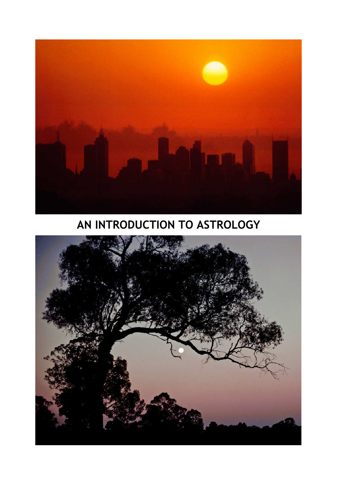

**AN INTRODUCTION TO ASTROLOGY**

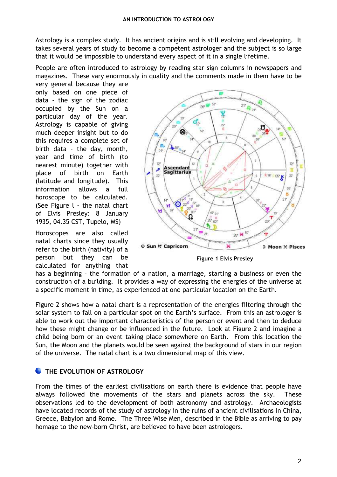Astrology is a complex study. It has ancient origins and is still evolving and developing. It takes several years of study to become a competent astrologer and the subject is so large that it would be impossible to understand every aspect of it in a single lifetime.

People are often introduced to astrology by reading star sign columns in newspapers and magazines. These vary enormously in quality and the comments made in them have to be

very general because they are only based on one piece of data - the sign of the zodiac occupied by the Sun on a particular day of the year. Astrology is capable of giving much deeper insight but to do this requires a complete set of birth data - the day, month, year and time of birth (to nearest minute) together with place of birth on Earth (latitude and longitude). This information allows a full horoscope to be calculated. (See Figure l - the natal chart of Elvis Presley: 8 January 1935, 04.35 CST, Tupelo, MS)

Horoscopes are also called natal charts since they usually refer to the birth (nativity) of a person but they can be calculated for anything that



**Figure 1 Elvis Presley** 

has a beginning – the formation of a nation, a marriage, starting a business or even the construction of a building. It provides a way of expressing the energies of the universe at a specific moment in time, as experienced at one particular location on the Earth.

Figure 2 shows how a natal chart is a representation of the energies filtering through the solar system to fall on a particular spot on the Earth's surface. From this an astrologer is able to work out the important characteristics of the person or event and then to deduce how these might change or be influenced in the future. Look at Figure 2 and imagine a child being born or an event taking place somewhere on Earth. From this location the Sun, the Moon and the planets would be seen against the background of stars in our region of the universe. The natal chart is a two dimensional map of this view.

# **C** THE EVOLUTION OF ASTROLOGY

From the times of the earliest civilisations on earth there is evidence that people have always followed the movements of the stars and planets across the sky. These observations led to the development of both astronomy and astrology. Archaeologists have located records of the study of astrology in the ruins of ancient civilisations in China, Greece, Babylon and Rome. The Three Wise Men, described in the Bible as arriving to pay homage to the new-born Christ, are believed to have been astrologers.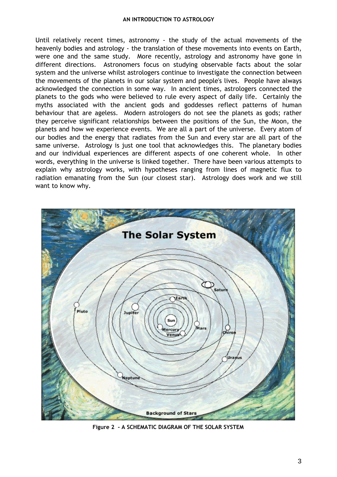#### **AN INTRODUCTION TO ASTROLOGY**

Until relatively recent times, astronomy - the study of the actual movements of the heavenly bodies and astrology - the translation of these movements into events on Earth, were one and the same study. More recently, astrology and astronomy have gone in different directions. Astronomers focus on studying observable facts about the solar system and the universe whilst astrologers continue to investigate the connection between the movements of the planets in our solar system and people's lives. People have always acknowledged the connection in some way. In ancient times, astrologers connected the planets to the gods who were believed to rule every aspect of daily life. Certainly the myths associated with the ancient gods and goddesses reflect patterns of human behaviour that are ageless. Modern astrologers do not see the planets as gods; rather they perceive significant relationships between the positions of the Sun, the Moon, the planets and how we experience events. We are all a part of the universe. Every atom of our bodies and the energy that radiates from the Sun and every star are all part of the same universe. Astrology is just one tool that acknowledges this. The planetary bodies and our individual experiences are different aspects of one coherent whole. In other words, everything in the universe is linked together. There have been various attempts to explain why astrology works, with hypotheses ranging from lines of magnetic flux to radiation emanating from the Sun (our closest star). Astrology does work and we still want to know why.



**Figure 2 - A SCHEMATIC DIAGRAM OF THE SOLAR SYSTEM**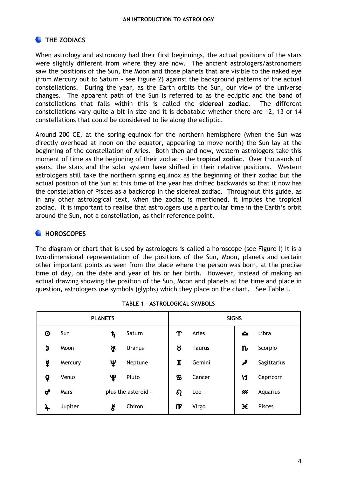# **C** THE ZODIACS

When astrology and astronomy had their first beginnings, the actual positions of the stars were slightly different from where they are now. The ancient astrologers/astronomers saw the positions of the Sun, the Moon and those planets that are visible to the naked eye (from Mercury out to Saturn - see Figure 2) against the background patterns of the actual constellations. During the year, as the Earth orbits the Sun, our view of the universe changes. The apparent path of the Sun is referred to as the ecliptic and the band of constellations that falls within this is called the **sidereal zodiac**. The different constellations vary quite a bit in size and it is debatable whether there are 12, 13 or 14 constellations that could be considered to lie along the ecliptic.

Around 200 CE, at the spring equinox for the northern hemisphere (when the Sun was directly overhead at noon on the equator, appearing to move north) the Sun lay at the beginning of the constellation of Aries. Both then and now, western astrologers take this moment of time as the beginning of their zodiac - the **tropical zodiac**. Over thousands of years, the stars and the solar system have shifted in their relative positions. Western astrologers still take the northern spring equinox as the beginning of their zodiac but the actual position of the Sun at this time of the year has drifted backwards so that it now has the constellation of Pisces as a backdrop in the sidereal zodiac. Throughout this guide, as in any other astrological text, when the zodiac is mentioned, it implies the tropical zodiac. It is important to realise that astrologers use a particular time in the Earth's orbit around the Sun, not a constellation, as their reference point.

## **C** HOROSCOPES

The diagram or chart that is used by astrologers is called a horoscope (see Figure l) It is a two-dimensional representation of the positions of the Sun, Moon, planets and certain other important points as seen from the place where the person was born, at the precise time of day, on the date and year of his or her birth. However, instead of making an actual drawing showing the position of the Sun, Moon and planets at the time and place in question, astrologers use symbols (glyphs) which they place on the chart. See Table l.

| <b>PLANETS</b> |         |              | <b>SIGNS</b>        |             |               |    |             |
|----------------|---------|--------------|---------------------|-------------|---------------|----|-------------|
| ⊙              | Sun     | $\mathbf{r}$ | Saturn              | $\Upsilon$  | Aries         | ᅀ  | Libra       |
| D              | Moon    | ৸ৢ           | <b>Uranus</b>       | ୪           | <b>Taurus</b> | ጤ  | Scorpio     |
| ¥              | Mercury | Ψ            | Neptune             | $\mathbf I$ | Gemini        | ዎ  | Sagittarius |
| ò              | Venus   | ೪            | Pluto               | க           | Cancer        | VS | Capricorn   |
| <b>්</b>       | Mars    |              | plus the asteroid - | $\Omega$    | Leo           | ⋘  | Aquarius    |
| 4              | Jupiter | ξ            | Chiron              | M           | Virgo         | Ӿ  | Pisces      |

|  | TABLE 1 - ASTROLOGICAL SYMBOLS |  |
|--|--------------------------------|--|
|--|--------------------------------|--|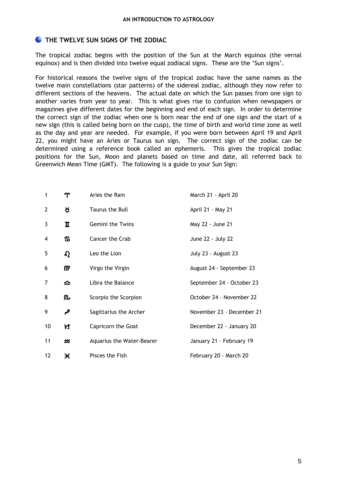### **C** THE TWELVE SUN SIGNS OF THE ZODIAC

The tropical zodiac begins with the position of the Sun at the March equinox (the vernal equinox) and is then divided into twelve equal zodiacal signs. These are the 'Sun signs'.

For historical reasons the twelve signs of the tropical zodiac have the same names as the twelve main constellations (star patterns) of the sidereal zodiac, although they now refer to different sections of the heavens. The actual date on which the Sun passes from one sign to another varies from year to year. This is what gives rise to confusion when newspapers or magazines give different dates for the beginning and end of each sign. In order to determine the correct sign of the zodiac when one is born near the end of one sign and the start of a new sign (this is called being born on the cusp), the time of birth and world time zone as well as the day and year are needed. For example, if you were born between April 19 and April 22, you might have an Aries or Taurus sun sign. The correct sign of the zodiac can be determined using a reference book called an ephemeris. This gives the tropical zodiac positions for the Sun, Moon and planets based on time and date, all referred back to Greenwich Mean Time (GMT). The following is a guide to your Sun Sign:

| 1  | Υ        | Aries the Ram             | March 21 - April 20       |
|----|----------|---------------------------|---------------------------|
| 2  | ୪        | Taurus the Bull           | April 21 - May 21         |
| 3  | π        | Gemini the Twins          | May 22 - June 21          |
| 4  | ଞ        | Cancer the Crab           | June 22 - July 22         |
| 5  | $\Omega$ | Leo the Lion              | July 23 - August 23       |
| 6  | M        | Virgo the Virgin          | August 24 - September 23  |
| 7  | ≏        | Libra the Balance         | September 24 - October 23 |
| 8  | ጤ        | Scorpio the Scorpion      | October 24 - November 22  |
| 9  | ∕∕       | Sagittarius the Archer    | November 23 - December 21 |
| 10 | <b>N</b> | Capricorn the Goat        | December 22 - January 20  |
| 11 | ⋘        | Aquarius the Water-Bearer | January 21 - February 19  |
| 12 | Ӿ        | Pisces the Fish           | February 20 - March 20    |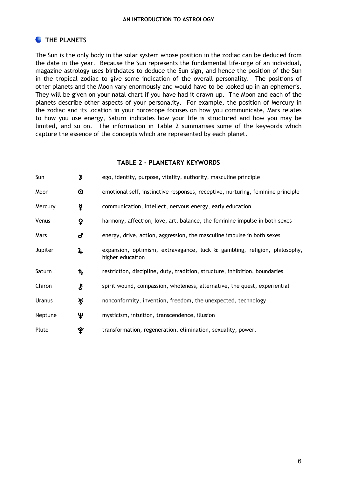# **C** THE PLANETS

The Sun is the only body in the solar system whose position in the zodiac can be deduced from the date in the year. Because the Sun represents the fundamental life-urge of an individual, magazine astrology uses birthdates to deduce the Sun sign, and hence the position of the Sun in the tropical zodiac to give some indication of the overall personality. The positions of other planets and the Moon vary enormously and would have to be looked up in an ephemeris. They will be given on your natal chart if you have had it drawn up. The Moon and each of the planets describe other aspects of your personality. For example, the position of Mercury in the zodiac and its location in your horoscope focuses on how you communicate, Mars relates to how you use energy, Saturn indicates how your life is structured and how you may be limited, and so on. The information in Table 2 summarises some of the keywords which capture the essence of the concepts which are represented by each planet.

#### **TABLE 2 - PLANETARY KEYWORDS**

| Sun     | D                          | ego, identity, purpose, vitality, authority, masculine principle                              |  |
|---------|----------------------------|-----------------------------------------------------------------------------------------------|--|
| Moon    | $\boldsymbol{\odot}$       | emotional self, instinctive responses, receptive, nurturing, feminine principle               |  |
| Mercury | ¥                          | communication, intellect, nervous energy, early education                                     |  |
| Venus   | ò                          | harmony, affection, love, art, balance, the feminine impulse in both sexes                    |  |
| Mars    | ď                          | energy, drive, action, aggression, the masculine impulse in both sexes                        |  |
| Jupiter | 4                          | expansion, optimism, extravagance, luck & gambling, religion, philosophy,<br>higher education |  |
| Saturn  | ħ                          | restriction, discipline, duty, tradition, structure, inhibition, boundaries                   |  |
| Chiron  | $\boldsymbol{\mathcal{E}}$ | spirit wound, compassion, wholeness, alternative, the quest, experiential                     |  |
| Uranus  | ৸ৢ                         | nonconformity, invention, freedom, the unexpected, technology                                 |  |
| Neptune | Ψ                          | mysticism, intuition, transcendence, illusion                                                 |  |
| Pluto   | ୄୢୢୢ                       | transformation, regeneration, elimination, sexuality, power.                                  |  |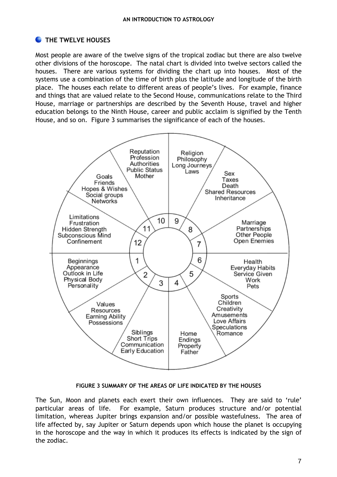## **C** THE TWELVE HOUSES

Most people are aware of the twelve signs of the tropical zodiac but there are also twelve other divisions of the horoscope. The natal chart is divided into twelve sectors called the houses. There are various systems for dividing the chart up into houses. Most of the systems use a combination of the time of birth plus the latitude and longitude of the birth place. The houses each relate to different areas of people's lives. For example, finance and things that are valued relate to the Second House, communications relate to the Third House, marriage or partnerships are described by the Seventh House, travel and higher education belongs to the Ninth House, career and public acclaim is signified by the Tenth House, and so on. Figure 3 summarises the significance of each of the houses.



**FIGURE 3 SUMMARY OF THE AREAS OF LIFE INDICATED BY THE HOUSES**

The Sun, Moon and planets each exert their own influences. They are said to 'rule' particular areas of life. For example, Saturn produces structure and/or potential limitation, whereas Jupiter brings expansion and/or possible wastefulness. The area of life affected by, say Jupiter or Saturn depends upon which house the planet is occupying in the horoscope and the way in which it produces its effects is indicated by the sign of the zodiac.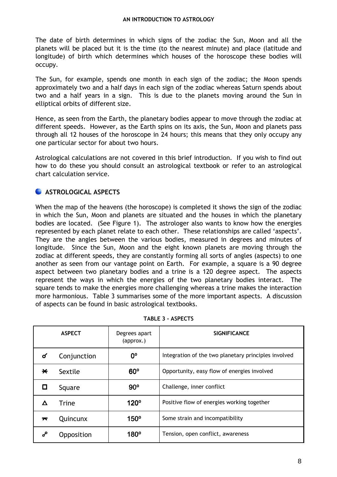#### **AN INTRODUCTION TO ASTROLOGY**

The date of birth determines in which signs of the zodiac the Sun, Moon and all the planets will be placed but it is the time (to the nearest minute) and place (latitude and longitude) of birth which determines which houses of the horoscope these bodies will occupy.

The Sun, for example, spends one month in each sign of the zodiac; the Moon spends approximately two and a half days in each sign of the zodiac whereas Saturn spends about two and a half years in a sign. This is due to the planets moving around the Sun in elliptical orbits of different size.

Hence, as seen from the Earth, the planetary bodies appear to move through the zodiac at different speeds. However, as the Earth spins on its axis, the Sun, Moon and planets pass through all 12 houses of the horoscope in 24 hours; this means that they only occupy any one particular sector for about two hours.

Astrological calculations are not covered in this brief introduction. If you wish to find out how to do these you should consult an astrological textbook or refer to an astrological chart calculation service.

## **ASTROLOGICAL ASPECTS**

When the map of the heavens (the horoscope) is completed it shows the sign of the zodiac in which the Sun, Moon and planets are situated and the houses in which the planetary bodies are located. (See Figure 1). The astrologer also wants to know how the energies represented by each planet relate to each other. These relationships are called 'aspects'. They are the angles between the various bodies, measured in degrees and minutes of longitude. Since the Sun, Moon and the eight known planets are moving through the zodiac at different speeds, they are constantly forming all sorts of angles (aspects) to one another as seen from our vantage point on Earth. For example, a square is a 90 degree aspect between two planetary bodies and a trine is a 120 degree aspect. The aspects represent the ways in which the energies of the two planetary bodies interact. The square tends to make the energies more challenging whereas a trine makes the interaction more harmonious. Table 3 summarises some of the more important aspects. A discussion of aspects can be found in basic astrological textbooks.

|     | <b>ASPECT</b> | Degrees apart<br>(approx.) | <b>SIGNIFICANCE</b>                                  |
|-----|---------------|----------------------------|------------------------------------------------------|
| σ   | Conjunction   | 0°                         | Integration of the two planetary principles involved |
| ⋇   | Sextile       | $60^\circ$                 | Opportunity, easy flow of energies involved          |
| . . | Square        | $90^{\circ}$               | Challenge, inner conflict                            |
|     | <b>Trine</b>  | 120°                       | Positive flow of energies working together           |
| ᅎ   | Quincunx      | $150^\circ$                | Some strain and incompatibility                      |
| ஃ   | Opposition    | 180°                       | Tension, open conflict, awareness                    |

**TABLE 3 - ASPECTS**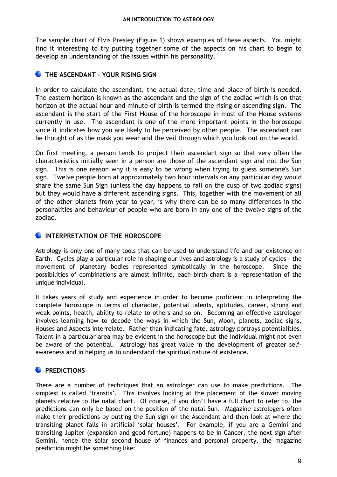The sample chart of Elvis Presley (Figure 1) shows examples of these aspects. You might find it interesting to try putting together some of the aspects on his chart to begin to develop an understanding of the issues within his personality.

### **C** THE ASCENDANT - YOUR RISING SIGN

In order to calculate the ascendant, the actual date, time and place of birth is needed. The eastern horizon is known as the ascendant and the sign of the zodiac which is on that horizon at the actual hour and minute of birth is termed the rising or ascending sign. The ascendant is the start of the First House of the horoscope in most of the House systems currently in use. The ascendant is one of the more important points in the horoscope since it indicates how you are likely to be perceived by other people. The ascendant can be thought of as the mask you wear and the veil through which you look out on the world.

On first meeting, a person tends to project their ascendant sign so that very often the characteristics initially seen in a person are those of the ascendant sign and not the Sun sign. This is one reason why it is easy to be wrong when trying to guess someone's Sun sign. Twelve people born at approximately two hour intervals on any particular day would share the same Sun Sign (unless the day happens to fall on the cusp of two zodiac signs) but they would have a different ascending signs. This, together with the movement of all of the other planets from year to year, is why there can be so many differences in the personalities and behaviour of people who are born in any one of the twelve signs of the zodiac.

## **INTERPRETATION OF THE HOROSCOPE**

Astrology is only one of many tools that can be used to understand life and our existence on Earth. Cycles play a particular role in shaping our lives and astrology is a study of cycles - the movement of planetary bodies represented symbolically in the horoscope. Since the possibilities of combinations are almost infinite, each birth chart is a representation of the unique individual.

It takes years of study and experience in order to become proficient in interpreting the complete horoscope in terms of character, potential talents, aptitudes, career, strong and weak points, health, ability to relate to others and so on. Becoming an effective astrologer involves learning how to decode the ways in which the Sun, Moon, planets, zodiac signs, Houses and Aspects interrelate. Rather than indicating fate, astrology portrays potentialities. Talent in a particular area may be evident in the horoscope but the individual might not even be aware of the potential. Astrology has great value in the development of greater selfawareness and in helping us to understand the spiritual nature of existence.

## **PREDICTIONS**

There are a number of techniques that an astrologer can use to make predictions. The simplest is called 'transits'. This involves looking at the placement of the slower moving planets relative to the natal chart. Of course, if you don't have a full chart to refer to, the predictions can only be based on the position of the natal Sun. Magazine astrologers often make their predictions by putting the Sun sign on the Ascendant and then look at where the transiting planet falls in artificial 'solar houses'. For example, if you are a Gemini and transiting Jupiter (expansion and good fortune) happens to be in Cancer, the next sign after Gemini, hence the solar second house of finances and personal property, the magazine prediction might be something like: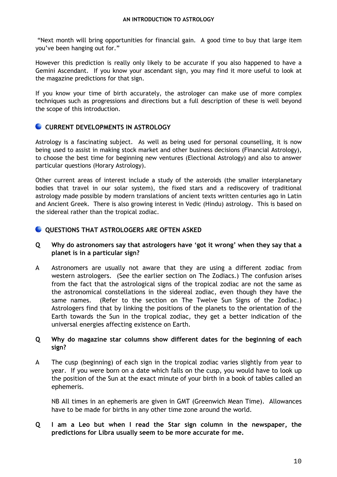"Next month will bring opportunities for financial gain. A good time to buy that large item you've been hanging out for."

However this prediction is really only likely to be accurate if you also happened to have a Gemini Ascendant. If you know your ascendant sign, you may find it more useful to look at the magazine predictions for that sign.

If you know your time of birth accurately, the astrologer can make use of more complex techniques such as progressions and directions but a full description of these is well beyond the scope of this introduction.

#### **CURRENT DEVELOPMENTS IN ASTROLOGY**

Astrology is a fascinating subject. As well as being used for personal counselling, it is now being used to assist in making stock market and other business decisions (Financial Astrology), to choose the best time for beginning new ventures (Electional Astrology) and also to answer particular questions (Horary Astrology).

Other current areas of interest include a study of the asteroids (the smaller interplanetary bodies that travel in our solar system), the fixed stars and a rediscovery of traditional astrology made possible by modern translations of ancient texts written centuries ago in Latin and Ancient Greek. There is also growing interest in Vedic (Hindu) astrology. This is based on the sidereal rather than the tropical zodiac.

#### **QUESTIONS THAT ASTROLOGERS ARE OFTEN ASKED**

- **Q Why do astronomers say that astrologers have 'got it wrong' when they say that a planet is in a particular sign?**
- A Astronomers are usually not aware that they are using a different zodiac from western astrologers. (See the earlier section on The Zodiacs.) The confusion arises from the fact that the astrological signs of the tropical zodiac are not the same as the astronomical constellations in the sidereal zodiac, even though they have the same names. (Refer to the section on The Twelve Sun Signs of the Zodiac.) Astrologers find that by linking the positions of the planets to the orientation of the Earth towards the Sun in the tropical zodiac, they get a better indication of the universal energies affecting existence on Earth.

#### **Q Why do magazine star columns show different dates for the beginning of each sign?**

A The cusp (beginning) of each sign in the tropical zodiac varies slightly from year to year. If you were born on a date which falls on the cusp, you would have to look up the position of the Sun at the exact minute of your birth in a book of tables called an ephemeris.

 NB All times in an ephemeris are given in GMT (Greenwich Mean Time). Allowances have to be made for births in any other time zone around the world.

**Q I am a Leo but when I read the Star sign column in the newspaper, the predictions for Libra usually seem to be more accurate for me.**